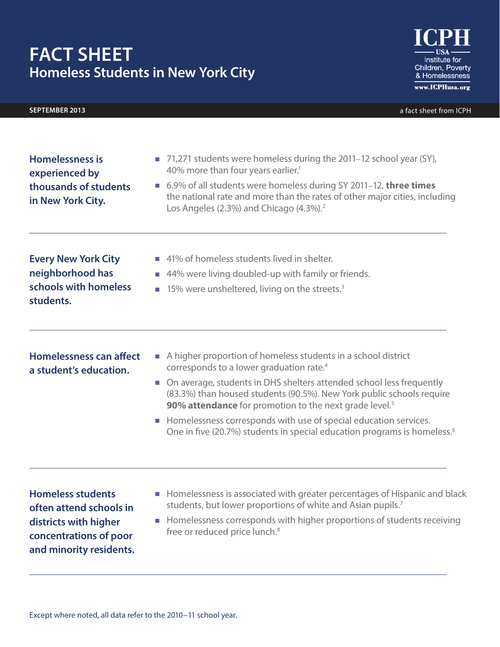# **Fact Sheet Homeless Students in New York City**

# **september 2013** a fact sheet from ICPH

Institute for Children, Poverty & Homelessness www.ICPHusa.org

| schools with homeless<br>students.                           | $\blacksquare$ 15% were unsheltered, living on the streets. <sup>3</sup>                                                                                                                                                                                   |
|--------------------------------------------------------------|------------------------------------------------------------------------------------------------------------------------------------------------------------------------------------------------------------------------------------------------------------|
| <b>Every New York City</b><br>neighborhood has               | ■ 41% of homeless students lived in shelter.<br>■ 44% were living doubled-up with family or friends.                                                                                                                                                       |
| experienced by<br>thousands of students<br>in New York City. | 40% more than four years earlier. <sup>1</sup><br>■ 6.9% of all students were homeless during SY 2011-12, three times<br>the national rate and more than the rates of other major cities, including<br>Los Angeles (2.3%) and Chicago (4.3%). <sup>2</sup> |
| <b>Homelessness is</b>                                       | 71,271 students were homeless during the 2011–12 school year (SY),<br>m.                                                                                                                                                                                   |

**Homelessness can affect a student's education.** 

- A higher proportion of homeless students in a school district corresponds to a lower graduation rate.4
- On average, students in DHS shelters attended school less frequently (83.3%) than housed students (90.5%). New York public schools require **90% attendance** for promotion to the next grade level.<sup>5</sup>
- Homelessness corresponds with use of special education services. One in five (20.7%) students in special education programs is homeless.<sup>6</sup>

**Homeless students often attend schools in districts with higher concentrations of poor and minority residents.**

- Homelessness is associated with greater percentages of Hispanic and black students, but lower proportions of white and Asian pupils.<sup>7</sup>
- Homelessness corresponds with higher proportions of students receiving free or reduced price lunch.<sup>8</sup>